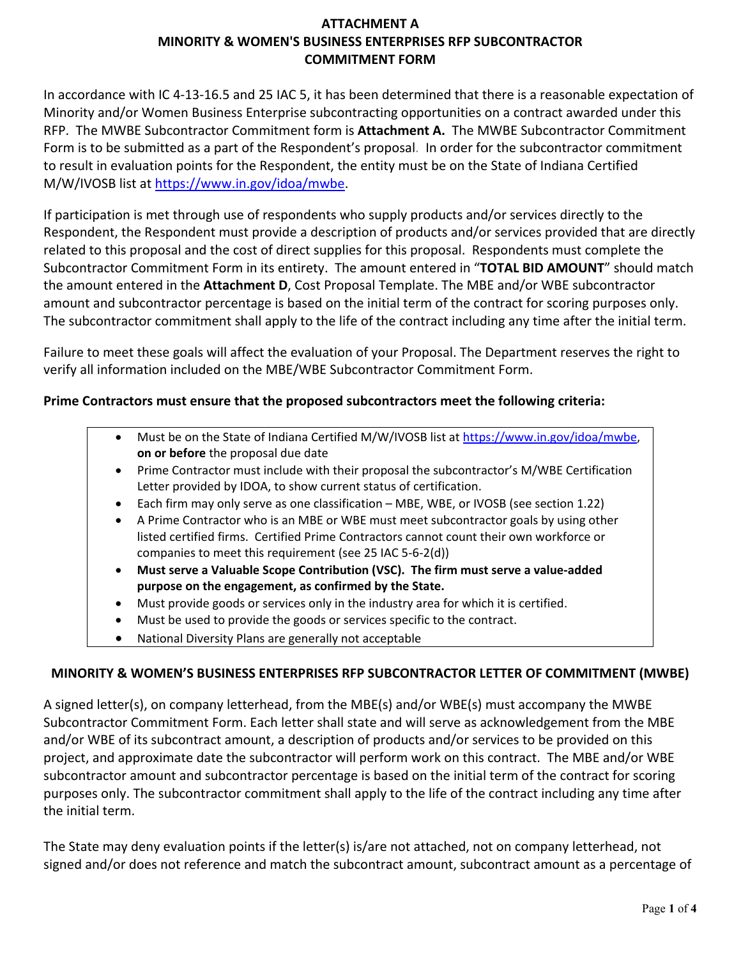# **ATTACHMENT A MINORITY & WOMEN'S BUSINESS ENTERPRISES RFP SUBCONTRACTOR COMMITMENT FORM**

In accordance with IC 4-13-16.5 and 25 IAC 5, it has been determined that there is a reasonable expectation of Minority and/or Women Business Enterprise subcontracting opportunities on a contract awarded under this RFP. The MWBE Subcontractor Commitment form is **Attachment A.** The MWBE Subcontractor Commitment Form is to be submitted as a part of the Respondent's proposal. In order for the subcontractor commitment to result in evaluation points for the Respondent, the entity must be on the State of Indiana Certified M/W/IVOSB list at [https://www.in.gov/idoa/mwbe.](https://www.in.gov/idoa/mwbe)

If participation is met through use of respondents who supply products and/or services directly to the Respondent, the Respondent must provide a description of products and/or services provided that are directly related to this proposal and the cost of direct supplies for this proposal. Respondents must complete the Subcontractor Commitment Form in its entirety. The amount entered in "**TOTAL BID AMOUNT**" should match the amount entered in the **Attachment D**, Cost Proposal Template. The MBE and/or WBE subcontractor amount and subcontractor percentage is based on the initial term of the contract for scoring purposes only. The subcontractor commitment shall apply to the life of the contract including any time after the initial term.

Failure to meet these goals will affect the evaluation of your Proposal. The Department reserves the right to verify all information included on the MBE/WBE Subcontractor Commitment Form.

## **Prime Contractors must ensure that the proposed subcontractors meet the following criteria:**

- Must be on the State of Indiana Certified M/W/IVOSB list a[t https://www.in.gov/idoa/mwbe,](https://www.in.gov/idoa/mwbe) **on or before** the proposal due date
- Prime Contractor must include with their proposal the subcontractor's M/WBE Certification Letter provided by IDOA, to show current status of certification.
- Each firm may only serve as one classification MBE, WBE, or IVOSB (see section 1.22)
- A Prime Contractor who is an MBE or WBE must meet subcontractor goals by using other listed certified firms. Certified Prime Contractors cannot count their own workforce or companies to meet this requirement (see 25 IAC 5-6-2(d))
- **Must serve a Valuable Scope Contribution (VSC). The firm must serve a value-added purpose on the engagement, as confirmed by the State.**
- Must provide goods or services only in the industry area for which it is certified.
- Must be used to provide the goods or services specific to the contract.
- National Diversity Plans are generally not acceptable

## **MINORITY & WOMEN'S BUSINESS ENTERPRISES RFP SUBCONTRACTOR LETTER OF COMMITMENT (MWBE)**

A signed letter(s), on company letterhead, from the MBE(s) and/or WBE(s) must accompany the MWBE Subcontractor Commitment Form. Each letter shall state and will serve as acknowledgement from the MBE and/or WBE of its subcontract amount, a description of products and/or services to be provided on this project, and approximate date the subcontractor will perform work on this contract. The MBE and/or WBE subcontractor amount and subcontractor percentage is based on the initial term of the contract for scoring purposes only. The subcontractor commitment shall apply to the life of the contract including any time after the initial term.

The State may deny evaluation points if the letter(s) is/are not attached, not on company letterhead, not signed and/or does not reference and match the subcontract amount, subcontract amount as a percentage of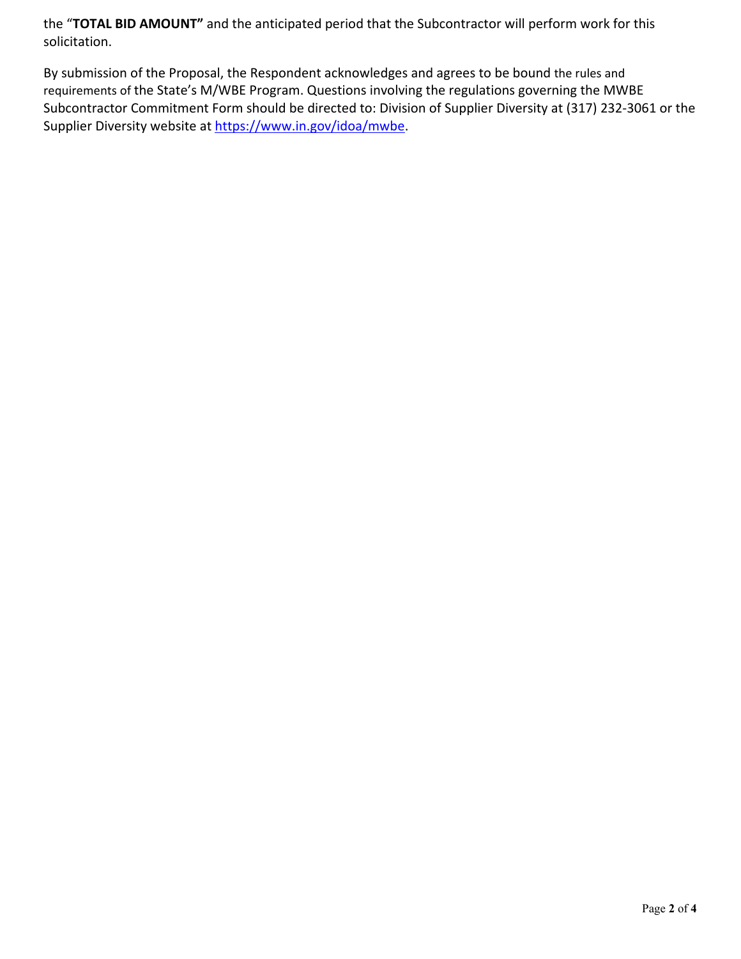the "**TOTAL BID AMOUNT"** and the anticipated period that the Subcontractor will perform work for this solicitation.

By submission of the Proposal, the Respondent acknowledges and agrees to be bound the rules and requirements of the State's M/WBE Program. Questions involving the regulations governing the MWBE Subcontractor Commitment Form should be directed to: Division of Supplier Diversity at (317) 232-3061 or the Supplier Diversity website at [https://www.in.gov/idoa/mwbe.](https://www.in.gov/idoa/mwbe)